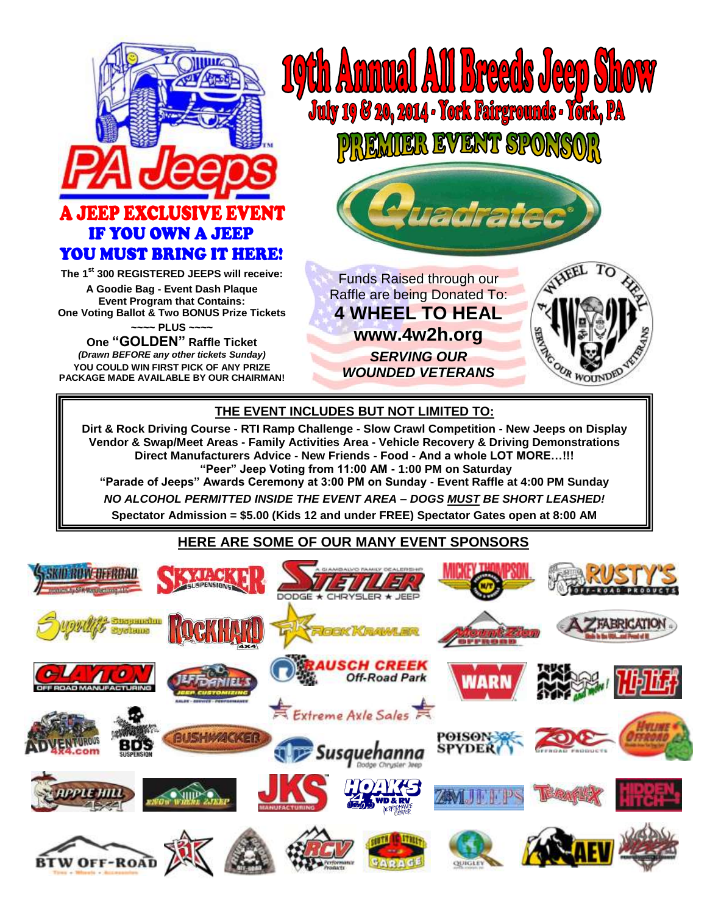

**The 1 st 300 REGISTERED JEEPS will receive: A Goodie Bag - Event Dash Plaque Event Program that Contains: One Voting Ballot & Two BONUS Prize Tickets ~~~~ PLUS ~~~~**

**One "GOLDEN" Raffle Ticket** *(Drawn BEFORE any other tickets Sunday)* **YOU COULD WIN FIRST PICK OF ANY PRIZE PACKAGE MADE AVAILABLE BY OUR CHAIRMAN!**

# **19th Annual All Breeds Jeep Show<br>July 19 & 20, 2014 - York Fairgrounds - York, PA**

**PREMIER EVENT SPONSOR** 



Funds Raised through our Raffle are being Donated To: **4 WHEEL TO HEAL www.4w2h.org** *SERVING OUR WOUNDED VETERANS*



### **THE EVENT INCLUDES BUT NOT LIMITED TO:**

**Dirt & Rock Driving Course - RTI Ramp Challenge - Slow Crawl Competition - New Jeeps on Display Vendor & Swap/Meet Areas - Family Activities Area - Vehicle Recovery & Driving Demonstrations Direct Manufacturers Advice - New Friends - Food - And a whole LOT MORE…!!! "Peer" Jeep Voting from 11:00 AM - 1:00 PM on Saturday "Parade of Jeeps" Awards Ceremony at 3:00 PM on Sunday - Event Raffle at 4:00 PM Sunday** *NO ALCOHOL PERMITTED INSIDE THE EVENT AREA – DOGS MUST BE SHORT LEASHED!*

**Spectator Admission = \$5.00 (Kids 12 and under FREE) Spectator Gates open at 8:00 AM**

### **HERE ARE SOME OF OUR MANY EVENT SPONSORS**

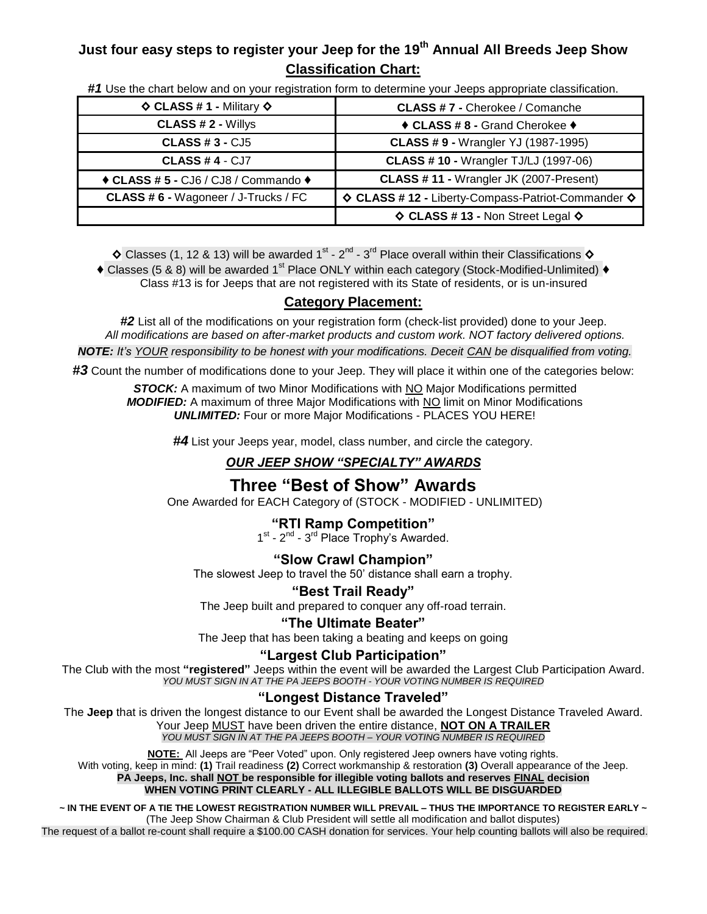### **Just four easy steps to register your Jeep for the 19 th Annual All Breeds Jeep Show Classification Chart:**

| $\diamond$ CLASS # 1 - Military $\diamond$ | <b>CLASS #7 - Cherokee / Comanche</b>              |
|--------------------------------------------|----------------------------------------------------|
| CLASS # 2 - Willys                         | ◆ CLASS #8 - Grand Cherokee ◆                      |
| <b>CLASS #3 - CJ5</b>                      | <b>CLASS #9 - Wrangler YJ (1987-1995)</b>          |
| <b>CLASS #4 - CJ7</b>                      | <b>CLASS #10 - Wrangler TJ/LJ (1997-06)</b>        |
| ◆ CLASS # 5 - CJ6 / CJ8 / Commando ◆       | CLASS #11 - Wrangler JK (2007-Present)             |
| <b>CLASS #6 - Wagoneer / J-Trucks / FC</b> | ♦ CLASS # 12 - Liberty-Compass-Patriot-Commander ♦ |
|                                            | $\Diamond$ CLASS #13 - Non Street Legal $\Diamond$ |

*#1* Use the chart below and on your registration form to determine your Jeeps appropriate classification.

◆ Classes (1, 12 & 13) will be awarded 1<sup>st</sup> - 2<sup>nd</sup> - 3<sup>rd</sup> Place overall within their Classifications ◆

◆ Classes (5 & 8) will be awarded 1<sup>st</sup> Place ONLY within each category (Stock-Modified-Unlimited) ◆ Class #13 is for Jeeps that are not registered with its State of residents, or is un-insured

### **Category Placement:**

*#2* List all of the modifications on your registration form (check-list provided) done to your Jeep. *All modifications are based on after-market products and custom work. NOT factory delivered options. NOTE: It's YOUR responsibility to be honest with your modifications. Deceit CAN be disqualified from voting.*

*#3* Count the number of modifications done to your Jeep. They will place it within one of the categories below:

*STOCK:* A maximum of two Minor Modifications with NO Major Modifications permitted *MODIFIED:* A maximum of three Major Modifications with NO limit on Minor Modifications *UNLIMITED:* Four or more Major Modifications - PLACES YOU HERE!

*#4* List your Jeeps year, model, class number, and circle the category.

### *OUR JEEP SHOW "SPECIALTY" AWARDS*

### **Three "Best of Show" Awards**

One Awarded for EACH Category of (STOCK - MODIFIED - UNLIMITED)

### **"RTI Ramp Competition"**

1<sup>st</sup> - 2<sup>nd</sup> - 3<sup>rd</sup> Place Trophy's Awarded.

### **"Slow Crawl Champion"**

The slowest Jeep to travel the 50' distance shall earn a trophy.

### **"Best Trail Ready"**

The Jeep built and prepared to conquer any off-road terrain.

### **"The Ultimate Beater"**

The Jeep that has been taking a beating and keeps on going

### **"Largest Club Participation"**

The Club with the most **"registered"** Jeeps within the event will be awarded the Largest Club Participation Award. *YOU MUST SIGN IN AT THE PA JEEPS BOOTH - YOUR VOTING NUMBER IS REQUIRED*

### **"Longest Distance Traveled"**

The **Jeep** that is driven the longest distance to our Event shall be awarded the Longest Distance Traveled Award. Your Jeep MUST have been driven the entire distance, **NOT ON A TRAILER** *YOU MUST SIGN IN AT THE PA JEEPS BOOTH – YOUR VOTING NUMBER IS REQUIRED*

**NOTE:** All Jeeps are "Peer Voted" upon. Only registered Jeep owners have voting rights.

With voting, keep in mind: **(1)** Trail readiness **(2)** Correct workmanship & restoration **(3)** Overall appearance of the Jeep. **PA Jeeps, Inc. shall NOT be responsible for illegible voting ballots and reserves FINAL decision**

### **WHEN VOTING PRINT CLEARLY - ALL ILLEGIBLE BALLOTS WILL BE DISGUARDED**

**~ IN THE EVENT OF A TIE THE LOWEST REGISTRATION NUMBER WILL PREVAIL – THUS THE IMPORTANCE TO REGISTER EARLY ~**

(The Jeep Show Chairman & Club President will settle all modification and ballot disputes)

The request of a ballot re-count shall require a \$100.00 CASH donation for services. Your help counting ballots will also be required.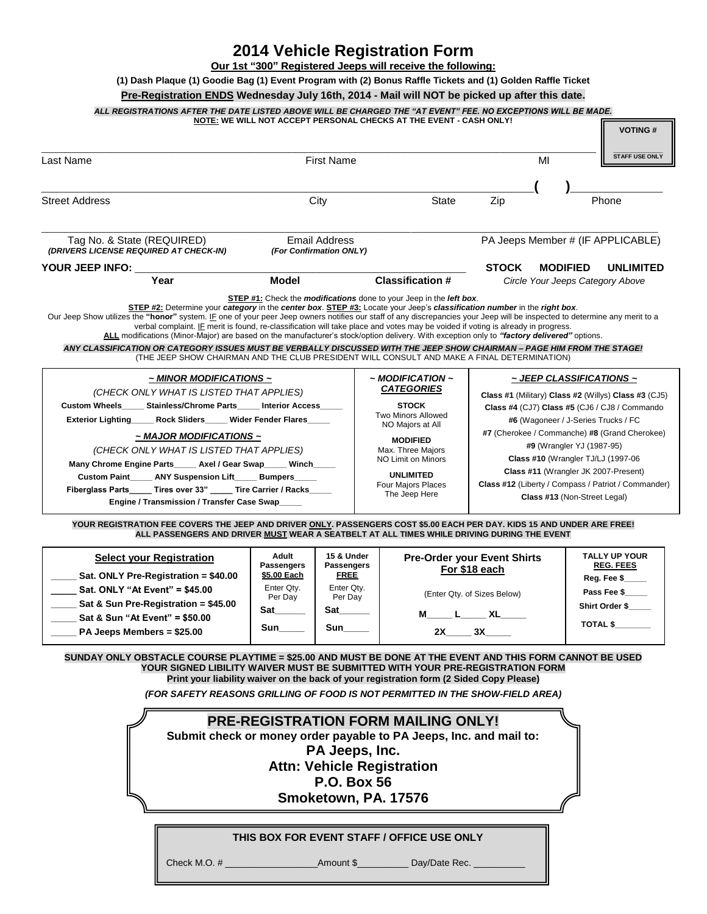### **2014 Vehicle Registration Form**

**Our 1st "300" Registered Jeeps will receive the following:**

**(1) Dash Plaque (1) Goodie Bag (1) Event Program with (2) Bonus Raffle Tickets and (1) Golden Raffle Ticket**

**Pre-Registration ENDS Wednesday July 16th, 2014 - Mail will NOT be picked up after this date.**

| ric-weylsuauvii LNDJ wedilesday July Tulli, ZUT4 - Mall Will NOT De pluked up alter this date.<br>ALL REGISTRATIONS AFTER THE DATE LISTED ABOVE WILL BE CHARGED THE "AT EVENT" FEE. NO EXCEPTIONS WILL BE MADE.                                                                                                                                                                                                                                                                                                                                                                                                                                                                                                                                                                                                                                                                                                |                                  |                                  |                             | NOTE: WE WILL NOT ACCEPT PERSONAL CHECKS AT THE EVENT - CASH ONLY! |                                                      |    |                                     | <b>VOTING#</b>                                |
|----------------------------------------------------------------------------------------------------------------------------------------------------------------------------------------------------------------------------------------------------------------------------------------------------------------------------------------------------------------------------------------------------------------------------------------------------------------------------------------------------------------------------------------------------------------------------------------------------------------------------------------------------------------------------------------------------------------------------------------------------------------------------------------------------------------------------------------------------------------------------------------------------------------|----------------------------------|----------------------------------|-----------------------------|--------------------------------------------------------------------|------------------------------------------------------|----|-------------------------------------|-----------------------------------------------|
|                                                                                                                                                                                                                                                                                                                                                                                                                                                                                                                                                                                                                                                                                                                                                                                                                                                                                                                |                                  |                                  |                             |                                                                    |                                                      |    |                                     |                                               |
| Last Name                                                                                                                                                                                                                                                                                                                                                                                                                                                                                                                                                                                                                                                                                                                                                                                                                                                                                                      |                                  | <b>First Name</b>                |                             |                                                                    |                                                      | MI |                                     | <b>STAFF USE ONLY</b>                         |
|                                                                                                                                                                                                                                                                                                                                                                                                                                                                                                                                                                                                                                                                                                                                                                                                                                                                                                                |                                  |                                  |                             |                                                                    |                                                      |    |                                     |                                               |
| <b>Street Address</b>                                                                                                                                                                                                                                                                                                                                                                                                                                                                                                                                                                                                                                                                                                                                                                                                                                                                                          |                                  | City                             |                             | <b>State</b>                                                       | Zip                                                  |    |                                     | Phone                                         |
| <b>Email Address</b><br>Tag No. & State (REQUIRED)<br>(DRIVERS LICENSE REQUIRED AT CHECK-IN)<br>(For Confirmation ONLY)                                                                                                                                                                                                                                                                                                                                                                                                                                                                                                                                                                                                                                                                                                                                                                                        |                                  |                                  |                             |                                                                    |                                                      |    |                                     | PA Jeeps Member # (IF APPLICABLE)             |
| YOUR JEEP INFO:                                                                                                                                                                                                                                                                                                                                                                                                                                                                                                                                                                                                                                                                                                                                                                                                                                                                                                |                                  |                                  |                             |                                                                    | <b>STOCK</b>                                         |    | <b>MODIFIED</b>                     | <b>UNLIMITED</b>                              |
| Year                                                                                                                                                                                                                                                                                                                                                                                                                                                                                                                                                                                                                                                                                                                                                                                                                                                                                                           | Model                            |                                  |                             | <b>Classification #</b>                                            |                                                      |    |                                     | Circle Your Jeeps Category Above              |
| <b>STEP #1:</b> Check the <b>modifications</b> done to your Jeep in the <b>left box</b> .<br>STEP #2: Determine your category in the center box. STEP #3: Locate your Jeep's classification number in the right box.<br>Our Jeep Show utilizes the "honor" system. IF one of your peer Jeep owners notifies our staff of any discrepancies your Jeep will be inspected to determine any merit to a<br>verbal complaint. IF merit is found, re-classification will take place and votes may be voided if voting is already in progress.<br>ALL modifications (Minor-Major) are based on the manufacturer's stock/option delivery. With exception only to "factory delivered" options.<br>ANY CLASSIFICATION OR CATEGORY ISSUES MUST BE VERBALLY DISCUSSED WITH THE JEEP SHOW CHAIRMAN – PAGE HIM FROM THE STAGE!<br>(THE JEEP SHOW CHAIRMAN AND THE CLUB PRESIDENT WILL CONSULT AND MAKE A FINAL DETERMINATION) |                                  |                                  |                             |                                                                    |                                                      |    |                                     |                                               |
| $\sim$ MINOR MODIFICATIONS $\sim$                                                                                                                                                                                                                                                                                                                                                                                                                                                                                                                                                                                                                                                                                                                                                                                                                                                                              |                                  |                                  |                             | $\sim$ MODIFICATION $\sim$                                         |                                                      |    | $\sim$ JEEP CLASSIFICATIONS $\sim$  |                                               |
| (CHECK ONLY WHAT IS LISTED THAT APPLIES)                                                                                                                                                                                                                                                                                                                                                                                                                                                                                                                                                                                                                                                                                                                                                                                                                                                                       |                                  |                                  |                             | <b>CATEGORIES</b>                                                  | Class #1 (Military) Class #2 (Willys) Class #3 (CJ5) |    |                                     |                                               |
| Custom Wheels Stainless/Chrome Parts Interior Access                                                                                                                                                                                                                                                                                                                                                                                                                                                                                                                                                                                                                                                                                                                                                                                                                                                           |                                  |                                  |                             | <b>STOCK</b><br><b>Two Minors Allowed</b>                          |                                                      |    |                                     | Class #4 (CJ7) Class #5 (CJ6 / CJ8 / Commando |
| Exterior Lighting ______ Rock Sliders ______ Wider Fender Flares                                                                                                                                                                                                                                                                                                                                                                                                                                                                                                                                                                                                                                                                                                                                                                                                                                               |                                  |                                  |                             | NO Majors at All                                                   |                                                      |    | #6 (Wagoneer / J-Series Trucks / FC |                                               |
| $\sim$ MAJOR MODIFICATIONS $\sim$                                                                                                                                                                                                                                                                                                                                                                                                                                                                                                                                                                                                                                                                                                                                                                                                                                                                              |                                  |                                  |                             | <b>MODIFIED</b>                                                    |                                                      |    | #9 (Wrangler YJ (1987-95)           | #7 (Cherokee / Commanche) #8 (Grand Cherokee) |
| (CHECK ONLY WHAT IS LISTED THAT APPLIES)                                                                                                                                                                                                                                                                                                                                                                                                                                                                                                                                                                                                                                                                                                                                                                                                                                                                       |                                  |                                  |                             | Max. Three Majors<br><b>NO Limit on Minors</b>                     |                                                      |    | Class #10 (Wrangler TJ/LJ (1997-06  |                                               |
| Many Chrome Engine Parts______ Axel / Gear Swap_____ Winch_____<br>Custom Paint_____ ANY Suspension Lift_____ Bumpers____                                                                                                                                                                                                                                                                                                                                                                                                                                                                                                                                                                                                                                                                                                                                                                                      |                                  |                                  |                             | <b>UNLIMITED</b>                                                   | Class #11 (Wrangler JK 2007-Present)                 |    |                                     |                                               |
| Fiberglass Parts_____ Tires over 33" _____ Tire Carrier / Racks_____                                                                                                                                                                                                                                                                                                                                                                                                                                                                                                                                                                                                                                                                                                                                                                                                                                           |                                  |                                  |                             | Four Majors Places                                                 | Class #12 (Liberty / Compass / Patriot / Commander)  |    |                                     |                                               |
| Engine / Transmission / Transfer Case Swap                                                                                                                                                                                                                                                                                                                                                                                                                                                                                                                                                                                                                                                                                                                                                                                                                                                                     |                                  |                                  |                             | The Jeep Here                                                      | Class #13 (Non-Street Legal)                         |    |                                     |                                               |
| YOUR REGISTRATION FEE COVERS THE JEEP AND DRIVER ONLY. PASSENGERS COST \$5.00 EACH PER DAY. KIDS 15 AND UNDER ARE FREE!<br>ALL PASSENGERS AND DRIVER MUST WEAR A SEATBELT AT ALL TIMES WHILE DRIVING DURING THE EVENT                                                                                                                                                                                                                                                                                                                                                                                                                                                                                                                                                                                                                                                                                          |                                  |                                  |                             |                                                                    |                                                      |    |                                     |                                               |
| <b>Select your Registration</b>                                                                                                                                                                                                                                                                                                                                                                                                                                                                                                                                                                                                                                                                                                                                                                                                                                                                                | Adult                            | 15 & Under                       |                             | <b>Pre-Order your Event Shirts</b>                                 |                                                      |    |                                     | <b>TALLY UP YOUR</b>                          |
|                                                                                                                                                                                                                                                                                                                                                                                                                                                                                                                                                                                                                                                                                                                                                                                                                                                                                                                | <b>Passengers</b><br>\$5.00 Each | <b>Passengers</b><br><b>FREE</b> |                             | For \$18 each                                                      |                                                      |    | <b>REG. FEES</b>                    |                                               |
| Sat. ONLY Pre-Registration = \$40.00<br>Sat. ONLY "At Event" = \$45.00                                                                                                                                                                                                                                                                                                                                                                                                                                                                                                                                                                                                                                                                                                                                                                                                                                         | Enter Qty.                       | Enter Qty.                       |                             |                                                                    |                                                      |    |                                     | Reg. Fee \$                                   |
| Sat & Sun Pre-Registration = \$45.00                                                                                                                                                                                                                                                                                                                                                                                                                                                                                                                                                                                                                                                                                                                                                                                                                                                                           | Per Day                          | Per Day                          | (Enter Qty. of Sizes Below) |                                                                    |                                                      |    | Pass Fee \$<br>Shirt Order \$       |                                               |
| Sat & Sun "At Event" = \$50.00                                                                                                                                                                                                                                                                                                                                                                                                                                                                                                                                                                                                                                                                                                                                                                                                                                                                                 | Sat                              | Sat                              |                             | M______ L______ XL__                                               |                                                      |    |                                     |                                               |
| PA Jeeps Members = \$25.00                                                                                                                                                                                                                                                                                                                                                                                                                                                                                                                                                                                                                                                                                                                                                                                                                                                                                     | Sun                              | Sun                              |                             |                                                                    | $2X \qquad 3X$                                       |    |                                     | TOTAL \$                                      |
| SUNDAY ONLY OBSTACLE COURSE PLAYTIME = \$25.00 AND MUST BE DONE AT THE EVENT AND THIS FORM CANNOT BE USED<br>YOUR SIGNED LIBILITY WAIVER MUST BE SUBMITTED WITH YOUR PRE-REGISTRATION FORM<br>Print your liability waiver on the back of your registration form (2 Sided Copy Please)<br>(FOR SAFETY REASONS GRILLING OF FOOD IS NOT PERMITTED IN THE SHOW-FIELD AREA)<br><b>PRE-REGISTRATION FORM MAILING ONLY!</b>                                                                                                                                                                                                                                                                                                                                                                                                                                                                                           |                                  |                                  |                             |                                                                    |                                                      |    |                                     |                                               |
| Submit check or money order payable to PA Jeeps, Inc. and mail to:                                                                                                                                                                                                                                                                                                                                                                                                                                                                                                                                                                                                                                                                                                                                                                                                                                             |                                  |                                  |                             |                                                                    |                                                      |    |                                     |                                               |
| PA Jeeps, Inc.                                                                                                                                                                                                                                                                                                                                                                                                                                                                                                                                                                                                                                                                                                                                                                                                                                                                                                 |                                  |                                  |                             |                                                                    |                                                      |    |                                     |                                               |
| <b>Attn: Vehicle Registration</b><br><b>P.O. Box 56</b>                                                                                                                                                                                                                                                                                                                                                                                                                                                                                                                                                                                                                                                                                                                                                                                                                                                        |                                  |                                  |                             |                                                                    |                                                      |    |                                     |                                               |
| Smoketown, PA. 17576                                                                                                                                                                                                                                                                                                                                                                                                                                                                                                                                                                                                                                                                                                                                                                                                                                                                                           |                                  |                                  |                             |                                                                    |                                                      |    |                                     |                                               |
|                                                                                                                                                                                                                                                                                                                                                                                                                                                                                                                                                                                                                                                                                                                                                                                                                                                                                                                |                                  |                                  |                             | THIS BOX FOR EVENT STAFF / OFFICE USE ONLY                         |                                                      |    |                                     |                                               |
|                                                                                                                                                                                                                                                                                                                                                                                                                                                                                                                                                                                                                                                                                                                                                                                                                                                                                                                |                                  |                                  |                             |                                                                    |                                                      |    |                                     |                                               |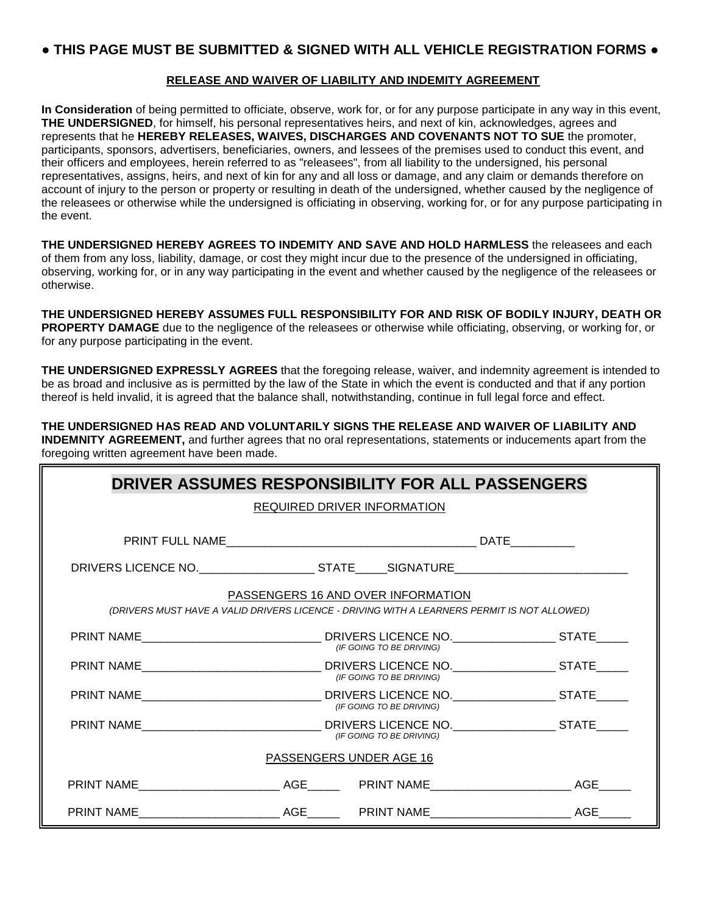### **● THIS PAGE MUST BE SUBMITTED & SIGNED WITH ALL VEHICLE REGISTRATION FORMS ●**

### **RELEASE AND WAIVER OF LIABILITY AND INDEMITY AGREEMENT**

**In Consideration** of being permitted to officiate, observe, work for, or for any purpose participate in any way in this event, **THE UNDERSIGNED**, for himself, his personal representatives heirs, and next of kin, acknowledges, agrees and represents that he **HEREBY RELEASES, WAIVES, DISCHARGES AND COVENANTS NOT TO SUE** the promoter, participants, sponsors, advertisers, beneficiaries, owners, and lessees of the premises used to conduct this event, and their officers and employees, herein referred to as "releasees", from all liability to the undersigned, his personal representatives, assigns, heirs, and next of kin for any and all loss or damage, and any claim or demands therefore on account of injury to the person or property or resulting in death of the undersigned, whether caused by the negligence of the releasees or otherwise while the undersigned is officiating in observing, working for, or for any purpose participating in the event.

**THE UNDERSIGNED HEREBY AGREES TO INDEMITY AND SAVE AND HOLD HARMLESS** the releasees and each of them from any loss, liability, damage, or cost they might incur due to the presence of the undersigned in officiating, observing, working for, or in any way participating in the event and whether caused by the negligence of the releasees or otherwise.

**THE UNDERSIGNED HEREBY ASSUMES FULL RESPONSIBILITY FOR AND RISK OF BODILY INJURY, DEATH OR PROPERTY DAMAGE** due to the negligence of the releasees or otherwise while officiating, observing, or working for, or for any purpose participating in the event.

**THE UNDERSIGNED EXPRESSLY AGREES** that the foregoing release, waiver, and indemnity agreement is intended to be as broad and inclusive as is permitted by the law of the State in which the event is conducted and that if any portion thereof is held invalid, it is agreed that the balance shall, notwithstanding, continue in full legal force and effect.

**THE UNDERSIGNED HAS READ AND VOLUNTARILY SIGNS THE RELEASE AND WAIVER OF LIABILITY AND INDEMNITY AGREEMENT,** and further agrees that no oral representations, statements or inducements apart from the foregoing written agreement have been made.

|                                                                                                                                   |  | DRIVER ASSUMES RESPONSIBILITY FOR ALL PASSENGERS |  |  |  |
|-----------------------------------------------------------------------------------------------------------------------------------|--|--------------------------------------------------|--|--|--|
| REQUIRED DRIVER INFORMATION                                                                                                       |  |                                                  |  |  |  |
|                                                                                                                                   |  |                                                  |  |  |  |
| DRIVERS LICENCE NO.______________________STATE______SIGNATURE____________________                                                 |  |                                                  |  |  |  |
| PASSENGERS 16 AND OVER INFORMATION<br>(DRIVERS MUST HAVE A VALID DRIVERS LICENCE - DRIVING WITH A LEARNERS PERMIT IS NOT ALLOWED) |  |                                                  |  |  |  |
|                                                                                                                                   |  | (IF GOING TO BE DRIVING)                         |  |  |  |
|                                                                                                                                   |  | (IF GOING TO BE DRIVING)                         |  |  |  |
|                                                                                                                                   |  | (IF GOING TO BE DRIVING)                         |  |  |  |
|                                                                                                                                   |  | (IF GOING TO BE DRIVING)                         |  |  |  |
| PASSENGERS UNDER AGE 16                                                                                                           |  |                                                  |  |  |  |
|                                                                                                                                   |  |                                                  |  |  |  |
|                                                                                                                                   |  |                                                  |  |  |  |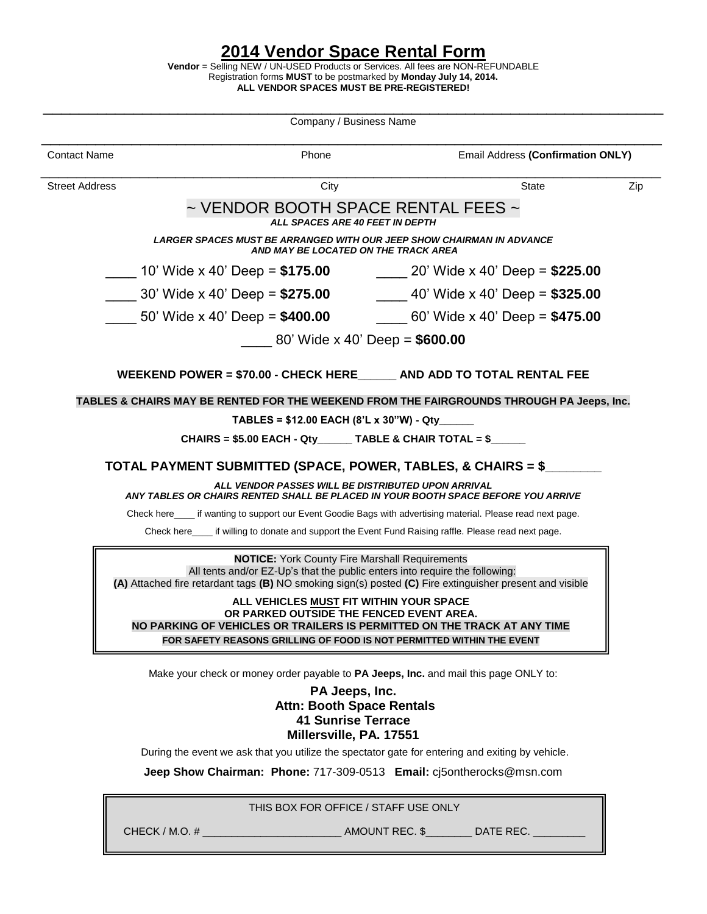### **2014 Vendor Space Rental Form**

**Vendor** = Selling NEW / UN-USED Products or Services. All fees are NON-REFUNDABLE Registration forms **MUST** to be postmarked by **Monday July 14, 2014. ALL VENDOR SPACES MUST BE PRE-REGISTERED!**

|                                                                                                               | Company / Business Name                                                                                                                                                                                                                          |                                   |     |  |
|---------------------------------------------------------------------------------------------------------------|--------------------------------------------------------------------------------------------------------------------------------------------------------------------------------------------------------------------------------------------------|-----------------------------------|-----|--|
| <b>Contact Name</b>                                                                                           | Phone                                                                                                                                                                                                                                            | Email Address (Confirmation ONLY) |     |  |
| <b>Street Address</b>                                                                                         | City                                                                                                                                                                                                                                             | State                             | Zip |  |
|                                                                                                               | $\sim$ VENDOR BOOTH SPACE RENTAL FEES $\sim$<br>ALL SPACES ARE 40 FEET IN DEPTH                                                                                                                                                                  |                                   |     |  |
|                                                                                                               | LARGER SPACES MUST BE ARRANGED WITH OUR JEEP SHOW CHAIRMAN IN ADVANCE<br>AND MAY BE LOCATED ON THE TRACK AREA                                                                                                                                    |                                   |     |  |
|                                                                                                               | ____ 10' Wide x 40' Deep = <b>\$175.00</b> ______ 20' Wide x 40' Deep = <b>\$225.00</b>                                                                                                                                                          |                                   |     |  |
|                                                                                                               | ___ 30' Wide x 40' Deep = \$275.00 __ __ 40' Wide x 40' Deep = \$325.00                                                                                                                                                                          |                                   |     |  |
|                                                                                                               |                                                                                                                                                                                                                                                  |                                   |     |  |
|                                                                                                               | 80' Wide x 40' Deep = $$600.00$                                                                                                                                                                                                                  |                                   |     |  |
|                                                                                                               | WEEKEND POWER = \$70.00 - CHECK HERE AND ADD TO TOTAL RENTAL FEE                                                                                                                                                                                 |                                   |     |  |
|                                                                                                               | TABLES & CHAIRS MAY BE RENTED FOR THE WEEKEND FROM THE FAIRGROUNDS THROUGH PA Jeeps, Inc.                                                                                                                                                        |                                   |     |  |
|                                                                                                               | TABLES = \$12.00 EACH (8'L x 30"W) - Qty_____                                                                                                                                                                                                    |                                   |     |  |
|                                                                                                               | CHAIRS = \$5.00 EACH - Qty______ TABLE & CHAIR TOTAL = \$______                                                                                                                                                                                  |                                   |     |  |
|                                                                                                               | TOTAL PAYMENT SUBMITTED (SPACE, POWER, TABLES, & CHAIRS = \$                                                                                                                                                                                     |                                   |     |  |
|                                                                                                               | ALL VENDOR PASSES WILL BE DISTRIBUTED UPON ARRIVAL<br>ANY TABLES OR CHAIRS RENTED SHALL BE PLACED IN YOUR BOOTH SPACE BEFORE YOU ARRIVE                                                                                                          |                                   |     |  |
| Check here_____ if wanting to support our Event Goodie Bags with advertising material. Please read next page. |                                                                                                                                                                                                                                                  |                                   |     |  |
|                                                                                                               | Check here _____ if willing to donate and support the Event Fund Raising raffle. Please read next page.                                                                                                                                          |                                   |     |  |
|                                                                                                               | <b>NOTICE:</b> York County Fire Marshall Requirements<br>All tents and/or EZ-Up's that the public enters into require the following:<br>(A) Attached fire retardant tags (B) NO smoking sign(s) posted (C) Fire extinguisher present and visible |                                   |     |  |
|                                                                                                               | ALL VEHICLES MUST FIT WITHIN YOUR SPACE<br>OR PARKED OUTSIDE THE FENCED EVENT AREA.<br>NO PARKING OF VEHICLES OR TRAILERS IS PERMITTED ON THE TRACK AT ANY TIME<br>FOR SAFETY REASONS GRILLING OF FOOD IS NOT PERMITTED WITHIN THE EVENT         |                                   |     |  |
|                                                                                                               |                                                                                                                                                                                                                                                  |                                   |     |  |
|                                                                                                               | Make your check or money order payable to PA Jeeps, Inc. and mail this page ONLY to:                                                                                                                                                             |                                   |     |  |
|                                                                                                               | PA Jeeps, Inc.                                                                                                                                                                                                                                   |                                   |     |  |
|                                                                                                               | <b>Attn: Booth Space Rentals</b><br><b>41 Sunrise Terrace</b>                                                                                                                                                                                    |                                   |     |  |
|                                                                                                               | Millersville, PA. 17551                                                                                                                                                                                                                          |                                   |     |  |
|                                                                                                               | During the event we ask that you utilize the spectator gate for entering and exiting by vehicle.                                                                                                                                                 |                                   |     |  |
|                                                                                                               | Jeep Show Chairman: Phone: 717-309-0513 Email: cj5ontherocks@msn.com                                                                                                                                                                             |                                   |     |  |

THIS BOX FOR OFFICE / STAFF USE ONLY

CHECK / M.O. # \_\_\_\_\_\_\_\_\_\_\_\_\_\_\_\_\_\_\_\_\_\_\_\_ AMOUNT REC. \$\_\_\_\_\_\_\_\_ DATE REC. \_\_\_\_\_\_\_\_\_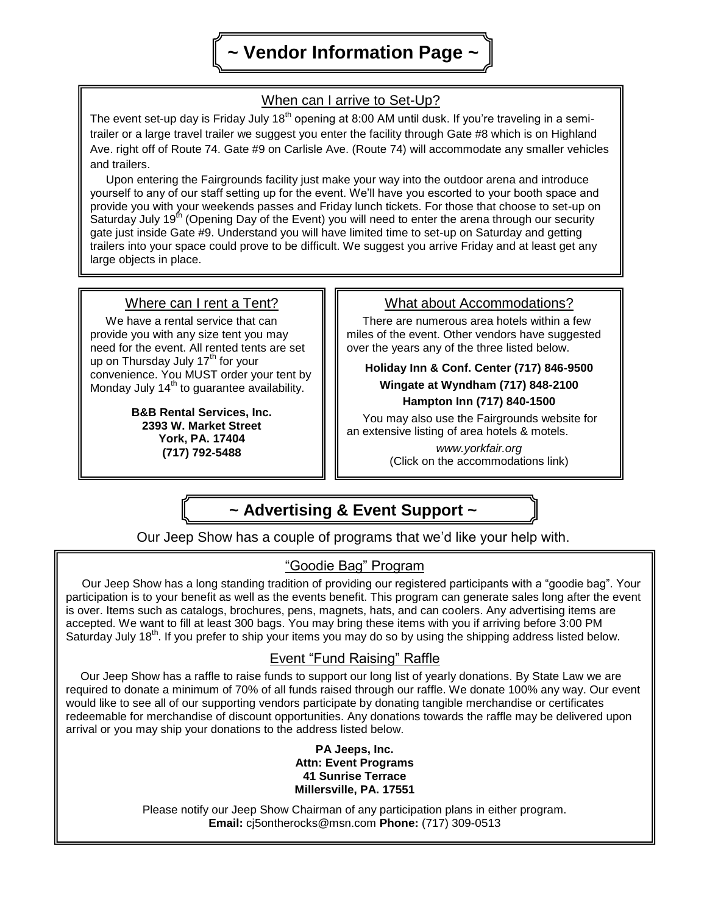### When can I arrive to Set-Up?

The event set-up day is Friday July 18<sup>th</sup> opening at 8:00 AM until dusk. If you're traveling in a semitrailer or a large travel trailer we suggest you enter the facility through Gate #8 which is on Highland Ave. right off of Route 74. Gate #9 on Carlisle Ave. (Route 74) will accommodate any smaller vehicles and trailers.

 Upon entering the Fairgrounds facility just make your way into the outdoor arena and introduce yourself to any of our staff setting up for the event. We'll have you escorted to your booth space and provide you with your weekends passes and Friday lunch tickets. For those that choose to set-up on Saturday July 19 $<sup>th</sup>$  (Opening Day of the Event) you will need to enter the arena through our security</sup> gate just inside Gate #9. Understand you will have limited time to set-up on Saturday and getting trailers into your space could prove to be difficult. We suggest you arrive Friday and at least get any large objects in place.

### Where can I rent a Tent?

 We have a rental service that can provide you with any size tent you may need for the event. All rented tents are set up on Thursday July 17<sup>th</sup> for your convenience. You MUST order your tent by Monday July 14<sup>th</sup> to guarantee availability.

> **B&B Rental Services, Inc. 2393 W. Market Street York, PA. 17404 (717) 792-5488**

### What about Accommodations?

 There are numerous area hotels within a few miles of the event. Other vendors have suggested over the years any of the three listed below.

### **Holiday Inn & Conf. Center (717) 846-9500 Wingate at Wyndham (717) 848-2100 Hampton Inn (717) 840-1500**

 You may also use the Fairgrounds website for an extensive listing of area hotels & motels.

> *www.yorkfair.org* (Click on the accommodations link)

## **~ Advertising & Event Support ~**

Our Jeep Show has a couple of programs that we'd like your help with.

### "Goodie Bag" Program

 Our Jeep Show has a long standing tradition of providing our registered participants with a "goodie bag". Your participation is to your benefit as well as the events benefit. This program can generate sales long after the event is over. Items such as catalogs, brochures, pens, magnets, hats, and can coolers. Any advertising items are accepted. We want to fill at least 300 bags. You may bring these items with you if arriving before 3:00 PM Saturday July 18<sup>th</sup>. If you prefer to ship your items you may do so by using the shipping address listed below.

### Event "Fund Raising" Raffle

 Our Jeep Show has a raffle to raise funds to support our long list of yearly donations. By State Law we are required to donate a minimum of 70% of all funds raised through our raffle. We donate 100% any way. Our event would like to see all of our supporting vendors participate by donating tangible merchandise or certificates redeemable for merchandise of discount opportunities. Any donations towards the raffle may be delivered upon arrival or you may ship your donations to the address listed below.

#### **PA Jeeps, Inc. Attn: Event Programs 41 Sunrise Terrace Millersville, PA. 17551**

Please notify our Jeep Show Chairman of any participation plans in either program. **Email:** cj5ontherocks@msn.com **Phone:** (717) 309-0513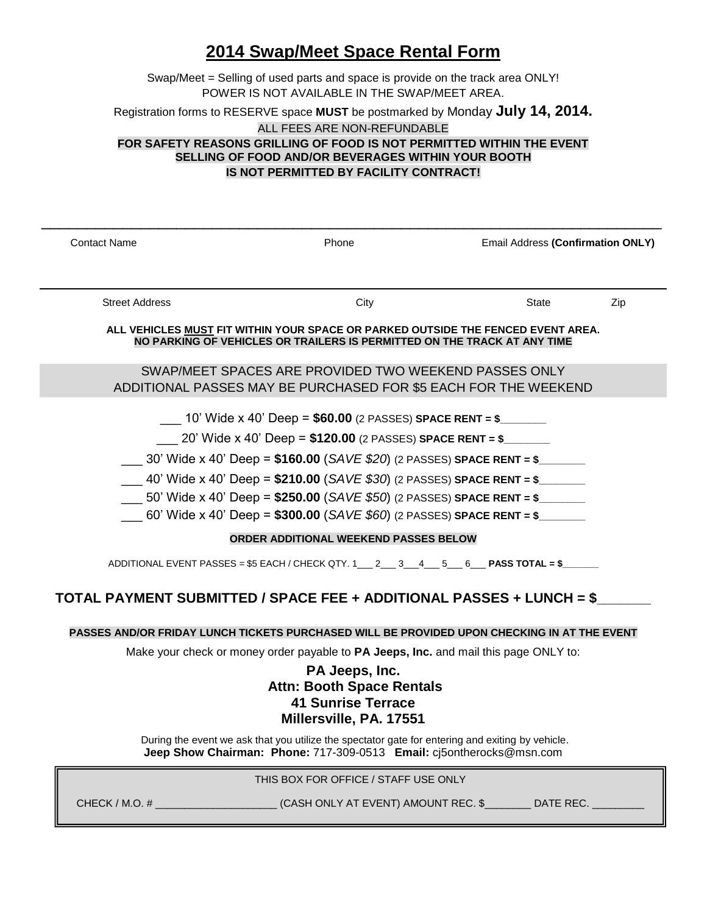# **2014 Swap/Meet Space Rental Form**

Swap/Meet = Selling of used parts and space is provide on the track area ONLY! POWER IS NOT AVAILABLE IN THE SWAP/MEET AREA.

Registration forms to RESERVE space **MUST** be postmarked by Monday **July 14, 2014.** ALL FEES ARE NON-REFUNDABLE

### **FOR SAFETY REASONS GRILLING OF FOOD IS NOT PERMITTED WITHIN THE EVENT SELLING OF FOOD AND/OR BEVERAGES WITHIN YOUR BOOTH IS NOT PERMITTED BY FACILITY CONTRACT!**

\_\_\_\_\_\_\_\_\_\_\_\_\_\_\_\_\_\_\_\_\_\_\_\_\_\_\_\_\_\_\_\_\_\_\_\_\_\_\_\_\_\_\_\_\_\_\_\_\_\_\_\_\_\_\_\_\_\_\_\_\_\_\_\_\_\_\_\_\_

| <b>Contact Name</b>   | Phone                                                                                                                                                                                                                                                                                                                                                                                                                                                                                                                                                                             | Email Address (Confirmation ONLY) |
|-----------------------|-----------------------------------------------------------------------------------------------------------------------------------------------------------------------------------------------------------------------------------------------------------------------------------------------------------------------------------------------------------------------------------------------------------------------------------------------------------------------------------------------------------------------------------------------------------------------------------|-----------------------------------|
|                       |                                                                                                                                                                                                                                                                                                                                                                                                                                                                                                                                                                                   |                                   |
| <b>Street Address</b> | City                                                                                                                                                                                                                                                                                                                                                                                                                                                                                                                                                                              | Zip<br>State                      |
|                       | ALL VEHICLES MUST FIT WITHIN YOUR SPACE OR PARKED OUTSIDE THE FENCED EVENT AREA.<br>NO PARKING OF VEHICLES OR TRAILERS IS PERMITTED ON THE TRACK AT ANY TIME                                                                                                                                                                                                                                                                                                                                                                                                                      |                                   |
|                       | SWAP/MEET SPACES ARE PROVIDED TWO WEEKEND PASSES ONLY<br>ADDITIONAL PASSES MAY BE PURCHASED FOR \$5 EACH FOR THE WEEKEND                                                                                                                                                                                                                                                                                                                                                                                                                                                          |                                   |
|                       | 10' Wide x 40' Deep = $$60.00$ (2 PASSES) SPACE RENT = $$$<br>20' Wide x 40' Deep = $$120.00$ (2 PASSES) SPACE RENT = $$$<br><u>30'</u> Wide x 40' Deep = \$160.00 (SAVE \$20) (2 PASSES) SPACE RENT = \$<br>__ 40' Wide x 40' Deep = <b>\$210.00</b> ( <i>SAVE \$30</i> ) (2 PASSES) <b>SPACE RENT = \$______</b><br>___ 50' Wide x 40' Deep = <b>\$250.00</b> ( <i>SAVE \$50</i> ) (2 PASSES) <b>SPACE RENT = \$_______</b><br>___ 60' Wide x 40' Deep = <b>\$300.00</b> ( <i>SAVE \$60</i> ) (2 PASSES) <b>SPACE RENT = \$_______</b><br>ORDER ADDITIONAL WEEKEND PASSES BELOW |                                   |
|                       | ADDITIONAL EVENT PASSES = \$5 EACH / CHECK QTY. 1 __ 2 __ 3 __ 4 __ 5 __ 6 __ PASS TOTAL = \$                                                                                                                                                                                                                                                                                                                                                                                                                                                                                     |                                   |
|                       | TOTAL PAYMENT SUBMITTED / SPACE FEE + ADDITIONAL PASSES + LUNCH = \$<br>PASSES AND/OR FRIDAY LUNCH TICKETS PURCHASED WILL BE PROVIDED UPON CHECKING IN AT THE EVENT                                                                                                                                                                                                                                                                                                                                                                                                               |                                   |
|                       | Make your check or money order payable to PA Jeeps, Inc. and mail this page ONLY to:                                                                                                                                                                                                                                                                                                                                                                                                                                                                                              |                                   |
|                       | PA Jeeps, Inc.<br><b>Attn: Booth Space Rentals</b><br><b>41 Sunrise Terrace</b><br>Millersville, PA. 17551                                                                                                                                                                                                                                                                                                                                                                                                                                                                        |                                   |
|                       | During the event we ask that you utilize the spectator gate for entering and exiting by vehicle.<br>Jeep Show Chairman: Phone: 717-309-0513 Email: cj5ontherocks@msn.com                                                                                                                                                                                                                                                                                                                                                                                                          |                                   |
|                       | THIS BOX FOR OFFICE / STAFF USE ONLY                                                                                                                                                                                                                                                                                                                                                                                                                                                                                                                                              |                                   |
|                       | CHECK / M.O. # ____________________________(CASH ONLY AT EVENT) AMOUNT REC. \$__________ DATE REC. __                                                                                                                                                                                                                                                                                                                                                                                                                                                                             |                                   |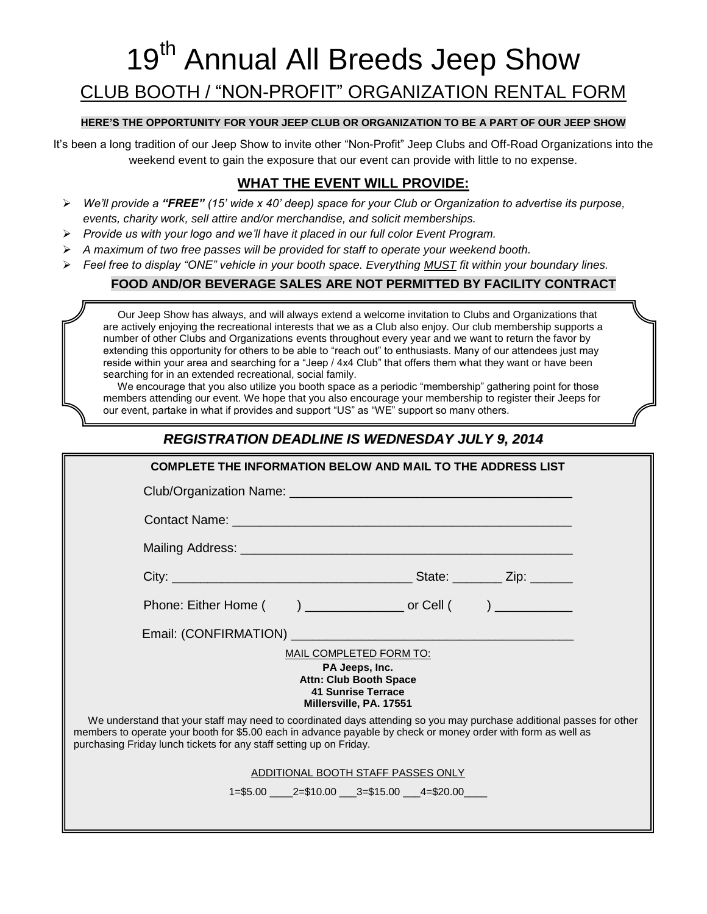# 19<sup>th</sup> Annual All Breeds Jeep Show CLUB BOOTH / "NON-PROFIT" ORGANIZATION RENTAL FORM

### **HERE'S THE OPPORTUNITY FOR YOUR JEEP CLUB OR ORGANIZATION TO BE A PART OF OUR JEEP SHOW**

It's been a long tradition of our Jeep Show to invite other "Non-Profit" Jeep Clubs and Off-Road Organizations into the weekend event to gain the exposure that our event can provide with little to no expense.

### **WHAT THE EVENT WILL PROVIDE:**

- *We'll provide a "FREE" (15' wide x 40' deep) space for your Club or Organization to advertise its purpose, events, charity work, sell attire and/or merchandise, and solicit memberships.*
- *Provide us with your logo and we'll have it placed in our full color Event Program.*
- *A maximum of two free passes will be provided for staff to operate your weekend booth.*
- *Feel free to display "ONE" vehicle in your booth space. Everything MUST fit within your boundary lines.*

### **FOOD AND/OR BEVERAGE SALES ARE NOT PERMITTED BY FACILITY CONTRACT**

 Our Jeep Show has always, and will always extend a welcome invitation to Clubs and Organizations that are actively enjoying the recreational interests that we as a Club also enjoy. Our club membership supports a number of other Clubs and Organizations events throughout every year and we want to return the favor by extending this opportunity for others to be able to "reach out" to enthusiasts. Many of our attendees just may reside within your area and searching for a "Jeep / 4x4 Club" that offers them what they want or have been searching for in an extended recreational, social family.

 We encourage that you also utilize you booth space as a periodic "membership" gathering point for those members attending our event. We hope that you also encourage your membership to register their Jeeps for our event, partake in what if provides and support "US" as "WE" support so many others.

### *REGISTRATION DEADLINE IS WEDNESDAY JULY 9, 2014*

| COMPLETE THE INFORMATION BELOW AND MAIL TO THE ADDRESS LIST                                                                                                                                                                                                                                                  |  |  |  |  |  |
|--------------------------------------------------------------------------------------------------------------------------------------------------------------------------------------------------------------------------------------------------------------------------------------------------------------|--|--|--|--|--|
|                                                                                                                                                                                                                                                                                                              |  |  |  |  |  |
|                                                                                                                                                                                                                                                                                                              |  |  |  |  |  |
|                                                                                                                                                                                                                                                                                                              |  |  |  |  |  |
|                                                                                                                                                                                                                                                                                                              |  |  |  |  |  |
| Phone: Either Home ( ) ________________ or Cell ( ) __________                                                                                                                                                                                                                                               |  |  |  |  |  |
|                                                                                                                                                                                                                                                                                                              |  |  |  |  |  |
| MAIL COMPLETED FORM TO:<br>PA Jeeps, Inc.<br><b>Attn: Club Booth Space</b><br><b>41 Sunrise Terrace</b><br>Millersville, PA. 17551                                                                                                                                                                           |  |  |  |  |  |
| We understand that your staff may need to coordinated days attending so you may purchase additional passes for other<br>members to operate your booth for \$5.00 each in advance payable by check or money order with form as well as<br>purchasing Friday lunch tickets for any staff setting up on Friday. |  |  |  |  |  |
| ADDITIONAL BOOTH STAFF PASSES ONLY<br>$1 = $5.00$ $2 = $10.00$ $3 = $15.00$ $4 = $20.00$                                                                                                                                                                                                                     |  |  |  |  |  |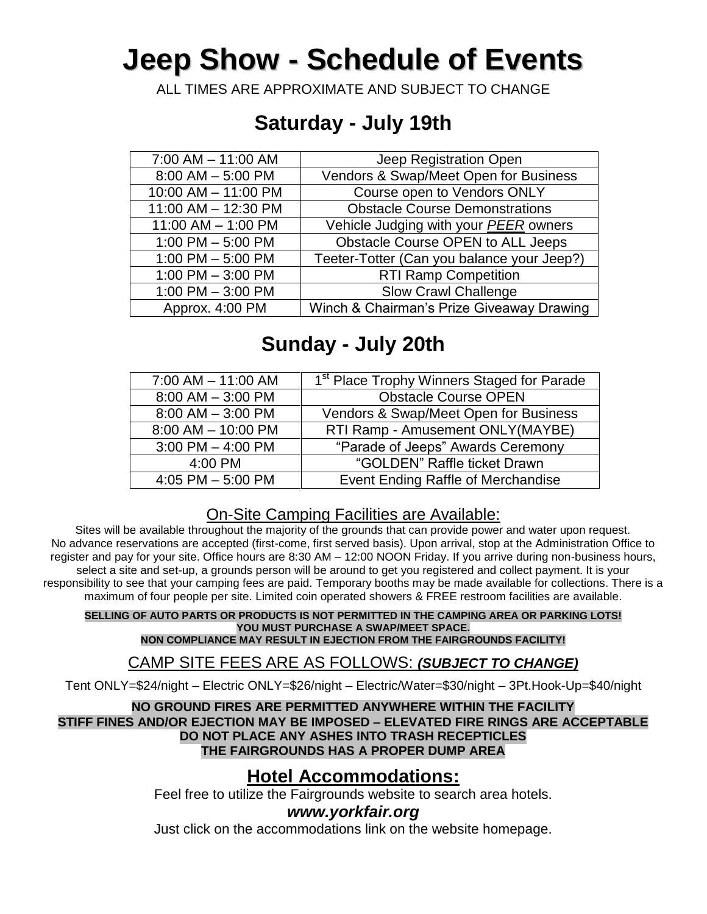# **Jeep Show - Schedule of Events**

ALL TIMES ARE APPROXIMATE AND SUBJECT TO CHANGE

| $7:00$ AM $-$ 11:00 AM | Jeep Registration Open                     |
|------------------------|--------------------------------------------|
| $8:00$ AM $-5:00$ PM   | Vendors & Swap/Meet Open for Business      |
| 10:00 AM - 11:00 PM    | Course open to Vendors ONLY                |
| 11:00 AM - 12:30 PM    | <b>Obstacle Course Demonstrations</b>      |
| 11:00 AM - 1:00 PM     | Vehicle Judging with your PEER owners      |
| 1:00 PM $-$ 5:00 PM    | Obstacle Course OPEN to ALL Jeeps          |
| 1:00 PM $-$ 5:00 PM    | Teeter-Totter (Can you balance your Jeep?) |
| 1:00 PM $-$ 3:00 PM    | <b>RTI Ramp Competition</b>                |
| 1:00 PM $-$ 3:00 PM    | <b>Slow Crawl Challenge</b>                |
| Approx. 4:00 PM        | Winch & Chairman's Prize Giveaway Drawing  |

# **Saturday - July 19th**

# **Sunday - July 20th**

| 7:00 AM - 11:00 AM     | 1 <sup>st</sup> Place Trophy Winners Staged for Parade |
|------------------------|--------------------------------------------------------|
| $8:00$ AM $-$ 3:00 PM  | <b>Obstacle Course OPEN</b>                            |
| $8:00$ AM $-3:00$ PM   | Vendors & Swap/Meet Open for Business                  |
| $8:00$ AM $-$ 10:00 PM | RTI Ramp - Amusement ONLY(MAYBE)                       |
| $3:00$ PM $-$ 4:00 PM  | "Parade of Jeeps" Awards Ceremony                      |
| 4:00 PM                | "GOLDEN" Raffle ticket Drawn                           |
| 4:05 PM $-$ 5:00 PM    | Event Ending Raffle of Merchandise                     |
|                        |                                                        |

### On-Site Camping Facilities are Available:

Sites will be available throughout the majority of the grounds that can provide power and water upon request. No advance reservations are accepted (first-come, first served basis). Upon arrival, stop at the Administration Office to register and pay for your site. Office hours are 8:30 AM – 12:00 NOON Friday. If you arrive during non-business hours, select a site and set-up, a grounds person will be around to get you registered and collect payment. It is your responsibility to see that your camping fees are paid. Temporary booths may be made available for collections. There is a maximum of four people per site. Limited coin operated showers & FREE restroom facilities are available.

#### **SELLING OF AUTO PARTS OR PRODUCTS IS NOT PERMITTED IN THE CAMPING AREA OR PARKING LOTS! YOU MUST PURCHASE A SWAP/MEET SPACE. NON COMPLIANCE MAY RESULT IN EJECTION FROM THE FAIRGROUNDS FACILITY!**

### CAMP SITE FEES ARE AS FOLLOWS: *(SUBJECT TO CHANGE)*

Tent ONLY=\$24/night – Electric ONLY=\$26/night – Electric/Water=\$30/night – 3Pt.Hook-Up=\$40/night

### **NO GROUND FIRES ARE PERMITTED ANYWHERE WITHIN THE FACILITY STIFF FINES AND/OR EJECTION MAY BE IMPOSED – ELEVATED FIRE RINGS ARE ACCEPTABLE DO NOT PLACE ANY ASHES INTO TRASH RECEPTICLES THE FAIRGROUNDS HAS A PROPER DUMP AREA**

## **Hotel Accommodations:**

Feel free to utilize the Fairgrounds website to search area hotels.

### *www.yorkfair.org*

Just click on the accommodations link on the website homepage.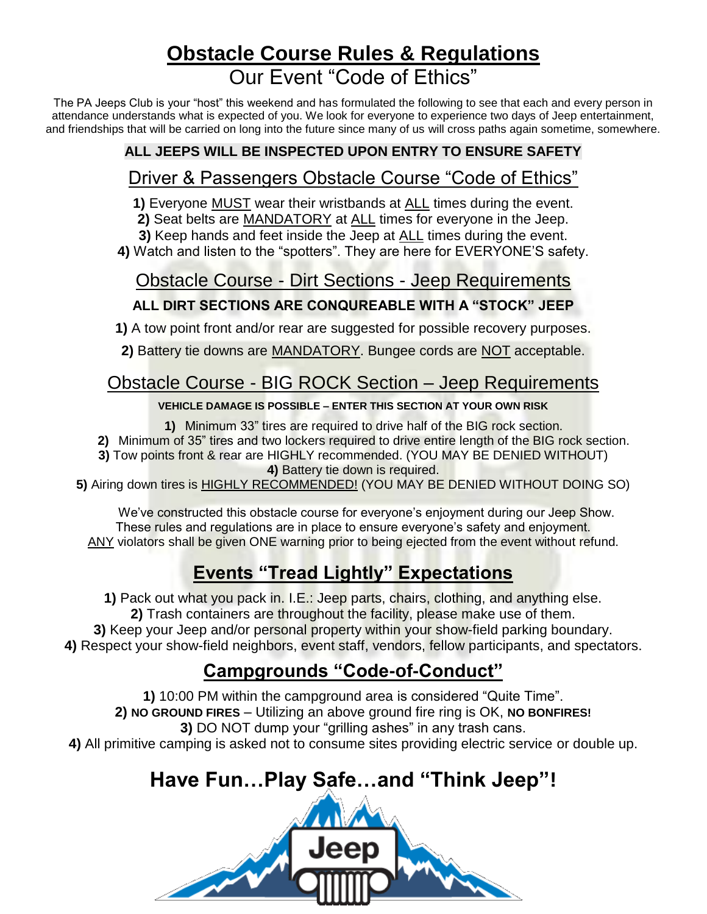# **Obstacle Course Rules & Regulations** Our Event "Code of Ethics"

The PA Jeeps Club is your "host" this weekend and has formulated the following to see that each and every person in attendance understands what is expected of you. We look for everyone to experience two days of Jeep entertainment, and friendships that will be carried on long into the future since many of us will cross paths again sometime, somewhere.

### **ALL JEEPS WILL BE INSPECTED UPON ENTRY TO ENSURE SAFETY**

# Driver & Passengers Obstacle Course "Code of Ethics"

**1)** Everyone MUST wear their wristbands at ALL times during the event.

**2)** Seat belts are MANDATORY at ALL times for everyone in the Jeep.

**3)** Keep hands and feet inside the Jeep at ALL times during the event.

**4)** Watch and listen to the "spotters". They are here for EVERYONE'S safety.

# Obstacle Course - Dirt Sections - Jeep Requirements

### **ALL DIRT SECTIONS ARE CONQUREABLE WITH A "STOCK" JEEP**

**1)** A tow point front and/or rear are suggested for possible recovery purposes.

**2)** Battery tie downs are MANDATORY. Bungee cords are NOT acceptable.

# Obstacle Course - BIG ROCK Section – Jeep Requirements

### **VEHICLE DAMAGE IS POSSIBLE – ENTER THIS SECTION AT YOUR OWN RISK**

**1)** Minimum 33" tires are required to drive half of the BIG rock section.

**2)** Minimum of 35" tires and two lockers required to drive entire length of the BIG rock section.

**3)** Tow points front & rear are HIGHLY recommended. (YOU MAY BE DENIED WITHOUT) **4)** Battery tie down is required.

**5)** Airing down tires is HIGHLY RECOMMENDED! (YOU MAY BE DENIED WITHOUT DOING SO)

 We've constructed this obstacle course for everyone's enjoyment during our Jeep Show. These rules and regulations are in place to ensure everyone's safety and enjoyment. ANY violators shall be given ONE warning prior to being ejected from the event without refund.

# **Events "Tread Lightly" Expectations**

**1)** Pack out what you pack in. I.E.: Jeep parts, chairs, clothing, and anything else. **2)** Trash containers are throughout the facility, please make use of them. **3)** Keep your Jeep and/or personal property within your show-field parking boundary.

**4)** Respect your show-field neighbors, event staff, vendors, fellow participants, and spectators.

# **Campgrounds "Code-of-Conduct"**

**1)** 10:00 PM within the campground area is considered "Quite Time".

**2) NO GROUND FIRES** – Utilizing an above ground fire ring is OK, **NO BONFIRES! 3)** DO NOT dump your "grilling ashes" in any trash cans.

**4)** All primitive camping is asked not to consume sites providing electric service or double up.

# **Have Fun…Play Safe…and "Think Jeep"!**